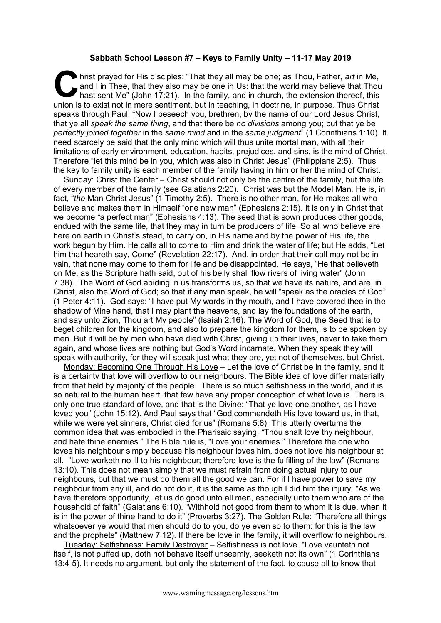## **Sabbath School Lesson #7 – Keys to Family Unity – 11-17 May 2019**

hrist prayed for His disciples: "That they all may be one; as Thou, Father, *art* in Me, and I in Thee, that they also may be one in Us: that the world may believe that Thou, hast sent Me" (John 17:21). In the family, and and I in Thee, that they also may be one in Us: that the world may believe that Thou hast sent Me" (John 17:21). In the family, and in church, the extension thereof, this union is to exist not in mere sentiment, but in teaching, in doctrine, in purpose. Thus Christ speaks through Paul: "Now I beseech you, brethren, by the name of our Lord Jesus Christ, that ye all *speak the same thing*, and that there be *no divisions* among you; but that ye be *perfectly joined together* in the *same mind* and in the *same judgment*" (1 Corinthians 1:10). It need scarcely be said that the only mind which will thus unite mortal man, with all their limitations of early environment, education, habits, prejudices, and sins, is the mind of Christ. Therefore "let this mind be in you, which was also in Christ Jesus" (Philippians 2:5). Thus the key to family unity is each member of the family having in him or her the mind of Christ.

Sunday: Christ the Center – Christ should not only be the centre of the family, but the life of every member of the family (see Galatians 2:20). Christ was but the Model Man. He is, in fact, "*the* Man Christ Jesus" (1 Timothy 2:5). There is no other man, for He makes all who believe and makes them in Himself "one new man" (Ephesians 2:15). It is only in Christ that we become "a perfect man" (Ephesians 4:13). The seed that is sown produces other goods, endued with the same life, that they may in turn be producers of life. So all who believe are here on earth in Christ's stead, to carry on, in His name and by the power of His life, the work begun by Him. He calls all to come to Him and drink the water of life; but He adds, "Let him that heareth say, Come" (Revelation 22:17). And, in order that their call may not be in vain, that none may come to them for life and be disappointed, He says, "He that believeth on Me, as the Scripture hath said, out of his belly shall flow rivers of living water" (John 7:38). The Word of God abiding in us transforms us, so that we have its nature, and are, in Christ, also the Word of God; so that if any man speak, he will "speak as the oracles of God" (1 Peter 4:11). God says: "I have put My words in thy mouth, and I have covered thee in the shadow of Mine hand, that I may plant the heavens, and lay the foundations of the earth, and say unto Zion, Thou art My people" (Isaiah 2:16). The Word of God, the Seed that is to beget children for the kingdom, and also to prepare the kingdom for them, is to be spoken by men. But it will be by men who have died with Christ, giving up their lives, never to take them again, and whose lives are nothing but God's Word incarnate. When they speak they will speak with authority, for they will speak just what they are, yet not of themselves, but Christ.

Monday: Becoming One Through His Love – Let the love of Christ be in the family, and it is a certainty that love will overflow to our neighbours. The Bible idea of love differ materially from that held by majority of the people. There is so much selfishness in the world, and it is so natural to the human heart, that few have any proper conception of what love is. There is only one true standard of love, and that is the Divine: "That ye love one another, as I have loved you" (John 15:12). And Paul says that "God commendeth His love toward us, in that, while we were yet sinners, Christ died for us" (Romans 5:8). This utterly overturns the common idea that was embodied in the Pharisaic saying, "Thou shalt love thy neighbour, and hate thine enemies." The Bible rule is, "Love your enemies." Therefore the one who loves his neighbour simply because his neighbour loves him, does not love his neighbour at all. "Love worketh no ill to his neighbour; therefore love is the fulfilling of the law" (Romans 13:10). This does not mean simply that we must refrain from doing actual injury to our neighbours, but that we must do them all the good we can. For if I have power to save my neighbour from any ill, and do not do it, it is the same as though I did him the injury. "As we have therefore opportunity, let us do good unto all men, especially unto them who are of the household of faith" (Galatians 6:10). "Withhold not good from them to whom it is due, when it is in the power of thine hand to do it" (Proverbs 3:27). The Golden Rule: "Therefore all things whatsoever ye would that men should do to you, do ye even so to them: for this is the law and the prophets" (Matthew 7:12). If there be love in the family, it will overflow to neighbours.

Tuesday: Selfishness: Family Destroyer – Selfishness is not love. "Love vaunteth not itself, is not puffed up, doth not behave itself unseemly, seeketh not its own" (1 Corinthians 13:4-5). It needs no argument, but only the statement of the fact, to cause all to know that